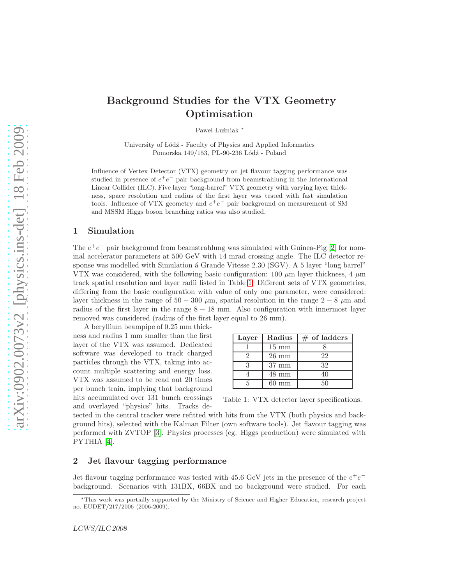# Background Studies for the VTX Geometry Optimisation

Paweł Lużniak

University of Lódź - Faculty of Physics and Applied Informatics Pomorska 149/153, PL-90-236 Łódź - Poland

Influence of Vertex Detector (VTX) geometry on jet flavour tagging performance was studied in presence of  $e^+e^-$  pair background from beamstrahlung in the International Linear Collider (ILC). Five layer "long-barrel" VTX geometry with varying layer thickness, space resolution and radius of the first layer was tested with fast simulation tools. Influence of VTX geometry and  $e^+e^-$  pair background on measurement of SM and MSSM Higgs boson branching ratios was also studied.

# 1 Simulation

The  $e^+e^-$  pair background from beamstrahlung was simulated with Guinea-Pig [\[2\]](#page-2-0) for nominal accelerator parameters at 500 GeV with 14 mrad crossing angle. The ILC detector response was modelled with Simulation á Grande Vitesse 2.30 (SGV). A 5 layer "long barrel" VTX was considered, with the following basic configuration: 100  $\mu$ m layer thickness, 4  $\mu$ m track spatial resolution and layer radii listed in Table [1.](#page-0-0) Different sets of VTX geometries, differing from the basic configuration with value of only one parameter, were considered: layer thickness in the range of  $50 - 300 \mu$ m, spatial resolution in the range  $2 - 8 \mu$ m and radius of the first layer in the range  $8 - 18$  mm. Also configuration with innermost layer removed was considered (radius of the first layer equal to 26 mm).

A beryllium beampipe of 0.25 mm thickness and radius 1 mm smaller than the first layer of the VTX was assumed. Dedicated software was developed to track charged particles through the VTX, taking into account multiple scattering and energy loss. VTX was assumed to be read out 20 times per bunch train, implying that background hits accumulated over 131 bunch crossings and overlayed "physics" hits. Tracks de-

| Layer | Radius          | $#$ of ladders |
|-------|-----------------|----------------|
|       | $15 \text{ mm}$ |                |
|       | $26 \text{ mm}$ | 22             |
|       | $37 \text{ mm}$ | 32             |
|       | $48 \text{ mm}$ |                |
|       | $60 \text{ mm}$ | 50             |

<span id="page-0-0"></span>Table 1: VTX detector layer specifications.

tected in the central tracker were refitted with hits from the VTX (both physics and background hits), selected with the Kalman Filter (own software tools). Jet flavour tagging was performed with ZVTOP [\[3\]](#page-2-1). Physics processes (eg. Higgs production) were simulated with PYTHIA [\[4\]](#page-2-2).

#### 2 Jet flavour tagging performance

Jet flavour tagging performance was tested with 45.6 GeV jets in the presence of the  $e^+e^$ background. Scenarios with 131BX, 66BX and no background were studied. For each

<sup>∗</sup>This work was partially supported by the Ministry of Science and Higher Education, research project no. EUDET/217/2006 (2006-2009).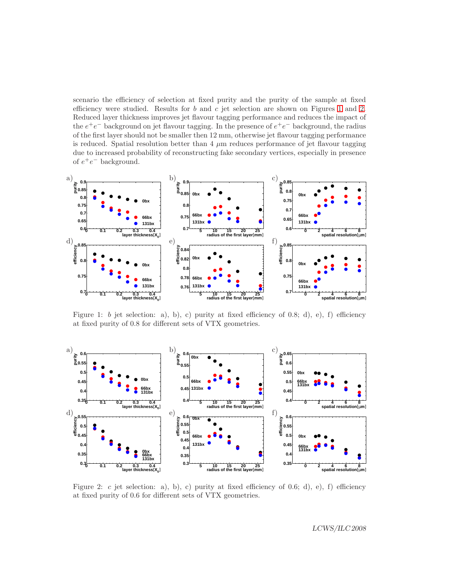scenario the efficiency of selection at fixed purity and the purity of the sample at fixed efficiency were studied. Results for  $b$  and  $c$  jet selection are shown on Figures [1](#page-1-0) and [2.](#page-1-1) Reduced layer thickness improves jet flavour tagging performance and reduces the impact of the  $e^+e^-$  background on jet flavour tagging. In the presence of  $e^+e^-$  background, the radius of the first layer should not be smaller then 12 mm, otherwise jet flavour tagging performance is reduced. Spatial resolution better than  $4 \mu m$  reduces performance of jet flavour tagging due to increased probability of reconstructing fake secondary vertices, especially in presence of  $e^+e^-$  background.



<span id="page-1-0"></span>Figure 1: b jet selection: a), b), c) purity at fixed efficiency of 0.8; d), e), f) efficiency at fixed purity of 0.8 for different sets of VTX geometries.



<span id="page-1-1"></span>Figure 2: c jet selection: a), b), c) purity at fixed efficiency of 0.6; d), e), f) efficiency at fixed purity of 0.6 for different sets of VTX geometries.

LCWS/ILC 2008